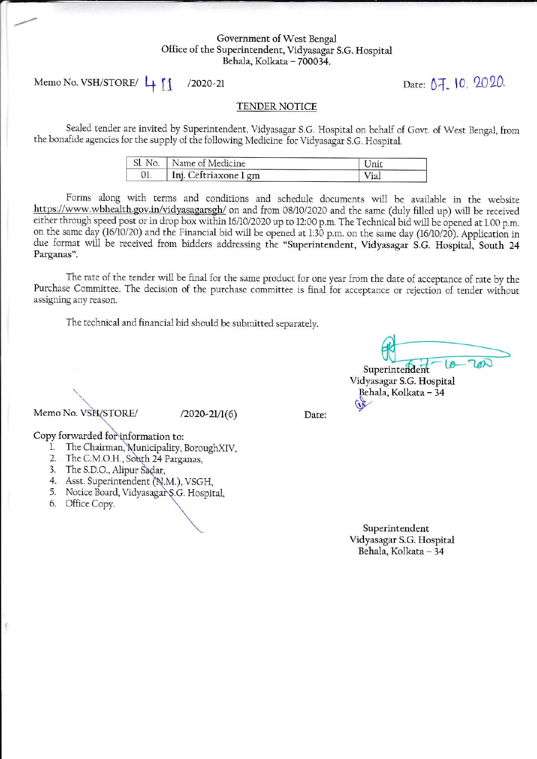## Government of West Bengal Office of the Superintendent, Vidyasagar S.G. Hospital Behala, Kolkata - 700034.

Memo No. VSH/STORE/ 4  $/2020 - 21$ 

Date: 07, 10, 2020.

## TENDER NOTICE

Sealed tender are invited by Superintendent, Vidyasagar S.G. Hospital on behalf of Govt. of West Bengal, from the bonafide agencies for the supply of the following Medicine for Vidyasagar S.G. Hospital.

| Sl. No.   Name of Medicine | Unit |
|----------------------------|------|
| Inj. Ceftriaxone 1 gm      | Via. |

Forms along with terms and conditions and schedule documents will be available in the website https://www.wbhealth.gov.in/vidyasagarsgh/ on and from 08/10/2020 and the same (duly filled up) will be received either through speed post or in drop box within 16/10/2020 up to 12:00 p.m. The Technical bid will be opened at 1.00 p.m. on the same day (16/10/20) and the Financial bid will be opened at 1:30 p.m. on the same day (16/10/20). Application in due format will be received from bidders addressing the "Superintendent, Vidyasagar S.G. Hospital, South 24 Parganas".

The rate of the tender will be final for the same product for one year from the date of acceptance of rate by the Purchase Committee. The decision of the purchase committee is final for acceptance or rejection of tender without assigning any reason.

The technical and financial bid should be submitted separately.

Superintendent Vidyasagar S.G. Hospital Behala, Kolkata - 34

Memo No. VSH/STORE/

 $(2020-21/1(6))$ 

Date:

Copy forwarded for information to:

- 1. The Chairman, Municipality, BoroughXIV,
- 2. The C.M.O.H., South 24 Parganas,
- 3. The S.D.O., Alipur Sadar,
- 4. Asst. Superintendent (N.M.), VSGH,
- 5. Notice Board, Vidyasagar S.G. Hospital,
- 6. Office Copy.

 $\frac{1}{2}$ 

Superintendent Vidyasagar S.G. Hospital Behala, Kolkata - 34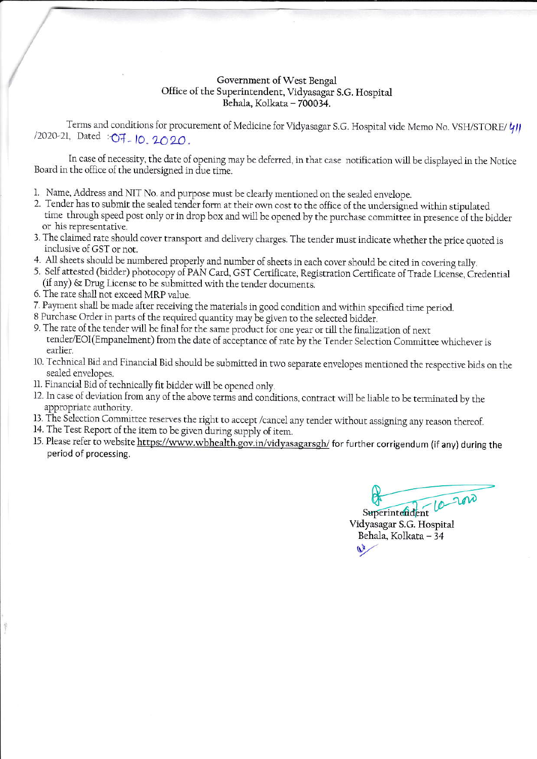## Government of West Bengal Office of the Superintendent, Vidyasagar S.G. Hospital Behala, Kolkata - 700034.

Terms and conditions for procurement of Medicine for Vidyasagar S.G. Hospital vide Memo No. VSH/STORE/ 41 /2020-21, Dated : O7 - 10, 2020.

In case of necessity, the date of opening may be deferred, in that case notification will be displayed in the Notice Board in the office of the undersigned in due time.

- 1. Name, Address and NIT No. and purpose must be clearly mentioned on the sealed envelope.
- 2. Tender has to submit the sealed tender form at their own cost to the office of the undersigned within stipulated time through speed post only or in drop box and will be opened by the purchase committee in presence of the bidder or his representative.
- 3. The claimed rate should cover transport and delivery charges. The tender must indicate whether the price quoted is inclusive of GST or not.
- 4. All sheets should be numbered properly and number of sheets in each cover should be cited in covering tally.
- 5. Self attested (bidder) photocopy of PAN Card, GST Certificate, Registration Certificate of Trade License, Credential (if any) & Drug License to be submitted with the tender documents.
- 6. The rate shall not exceed MRP value.
- 7. Payment shall be made after receiving the materials in good condition and within specified time period.
- 8 Purchase Order in parts of the required quantity may be given to the selected bidder.
- 9. The rate of the tender will be final for the same product for one year or till the finalization of next tender/EOI(Empanelment) from the date of acceptance of rate by the Tender Selection Committee whichever is earlier.
- 10. Technical Bid and Financial Bid should be submitted in two separate envelopes mentioned the respective bids on the sealed envelopes.
- 11. Financial Bid of technically fit bidder will be opened only.
- 12. In case of deviation from any of the above terms and conditions, contract will be liable to be terminated by the appropriate authority.
- 13. The Selection Committee reserves the right to accept /cancel any tender without assigning any reason thereof.
- 14. The Test Report of the item to be given during supply of item.
- 15. Please refer to website https://www.wbhealth.gov.in/vidyasagarsgh/ for further corrigendum (if any) during the period of processing.

 $200$  $-10$ Superintendent

Vidyasagar S.G. Hospital Behala, Kolkata - 34